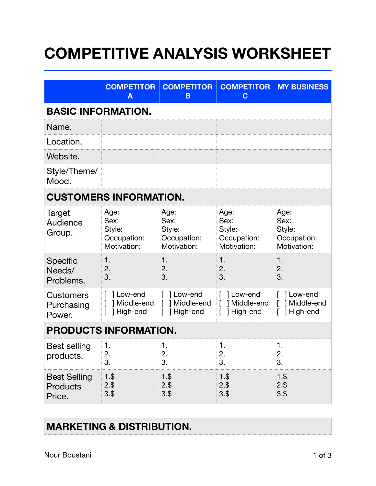## **COMPETITIVE ANALYSIS WORKSHEET**

|                                           | <b>COMPETITOR</b><br>Α                               | <b>COMPETITOR</b><br>B                               | <b>COMPETITOR</b><br>$\mathbf C$                     | <b>MY BUSINESS</b>                                   |  |  |  |
|-------------------------------------------|------------------------------------------------------|------------------------------------------------------|------------------------------------------------------|------------------------------------------------------|--|--|--|
| <b>BASIC INFORMATION.</b>                 |                                                      |                                                      |                                                      |                                                      |  |  |  |
| Name.                                     |                                                      |                                                      |                                                      |                                                      |  |  |  |
| Location.                                 |                                                      |                                                      |                                                      |                                                      |  |  |  |
| Website.                                  |                                                      |                                                      |                                                      |                                                      |  |  |  |
| Style/Theme/<br>Mood.                     |                                                      |                                                      |                                                      |                                                      |  |  |  |
| <b>CUSTOMERS INFORMATION.</b>             |                                                      |                                                      |                                                      |                                                      |  |  |  |
| <b>Target</b><br>Audience<br>Group.       | Age:<br>Sex:<br>Style:<br>Occupation:<br>Motivation: | Age:<br>Sex:<br>Style:<br>Occupation:<br>Motivation: | Age:<br>Sex:<br>Style:<br>Occupation:<br>Motivation: | Age:<br>Sex:<br>Style:<br>Occupation:<br>Motivation: |  |  |  |
| <b>Specific</b><br>Needs/<br>Problems.    | 1.<br>2.<br>3.                                       | 1.<br>2.<br>3.                                       | 1.<br>2.<br>3.                                       | 1.<br>2.<br>3.                                       |  |  |  |
| <b>Customers</b><br>Purchasing<br>Power.  | 1 Low-end<br>] Middle-end<br>High-end                | [ ] Low-end<br>Middle-end<br>High-end                | [ ] Low-end<br>] Middle-end<br>High-end              | 1 Low-end<br>$\lceil$<br>] Middle-end<br>1 High-end  |  |  |  |
| <b>PRODUCTS INFORMATION.</b>              |                                                      |                                                      |                                                      |                                                      |  |  |  |
| <b>Best selling</b><br>products.          | 1.<br>2.<br>3.                                       | 1.<br>2.<br>3.                                       | 1.<br>2.<br>3.                                       | 1.<br>2.<br>3.                                       |  |  |  |
| <b>Best Selling</b><br>Products<br>Price. | $1.$ \$<br>$2.$ \$<br>$3.$ \$                        | $1.$ \$<br>2.\$<br>$3.$ \$                           | $1.$ \$<br>2.\$<br>$3.$ \$                           | $1.$ \$<br>$2.$ \$<br>$3.$ \$                        |  |  |  |

## **MARKETING & DISTRIBUTION.**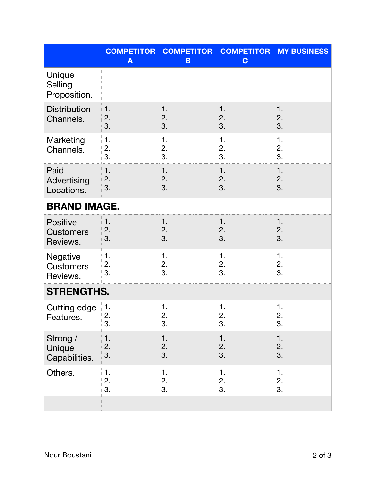|                                                 | <b>COMPETITOR</b><br>$\mathbf{A}$ | <b>COMPETITOR</b><br>B | <b>COMPETITOR</b><br>$\mathbf C$ | <b>MY BUSINESS</b> |  |  |  |
|-------------------------------------------------|-----------------------------------|------------------------|----------------------------------|--------------------|--|--|--|
| Unique<br>Selling<br>Proposition.               |                                   |                        |                                  |                    |  |  |  |
| <b>Distribution</b><br>Channels.                | $\mathbf 1$ .<br>2.<br>3.         | 1.<br>2.<br>3.         | 1.<br>2.<br>3.                   | 1.<br>2.<br>3.     |  |  |  |
| Marketing<br>Channels.                          | 1.<br>2.<br>3.                    | 1.<br>2.<br>3.         | 1.<br>2.<br>3.                   | 1.<br>2.<br>3.     |  |  |  |
| Paid<br>Advertising<br>Locations.               | 1.<br>2.<br>3.                    | 1.<br>2.<br>3.         | 1.<br>2.<br>3.                   | 1.<br>2.<br>3.     |  |  |  |
| <b>BRAND IMAGE.</b>                             |                                   |                        |                                  |                    |  |  |  |
| <b>Positive</b><br><b>Customers</b><br>Reviews. | 1.<br>2.<br>3.                    | 1.<br>2.<br>3.         | 1.<br>2.<br>3.                   | 1.<br>2.<br>3.     |  |  |  |
| Negative<br><b>Customers</b><br>Reviews.        | 1.<br>2.<br>3.                    | 1.<br>2.<br>3.         | 1.<br>2.<br>3.                   | 1.<br>2.<br>3.     |  |  |  |
| <b>STRENGTHS.</b>                               |                                   |                        |                                  |                    |  |  |  |
| Cutting edge<br>Features                        | 1.<br>2.<br>3.                    | 1.<br>2.<br>3.         | 1.<br>2.<br>3.                   | 1.<br>2.<br>3.     |  |  |  |
| Strong /<br>Unique<br>Capabilities.             | 1.<br>2.<br>3.                    | 1.<br>2.<br>3.         | 1.<br>2.<br>3.                   | 1.<br>2.<br>3.     |  |  |  |
| Others.                                         | 1.<br>2.<br>3.                    | 1.<br>2.<br>3.         | 1.<br>2.<br>3.                   | 1.<br>2.<br>3.     |  |  |  |
|                                                 |                                   |                        |                                  |                    |  |  |  |